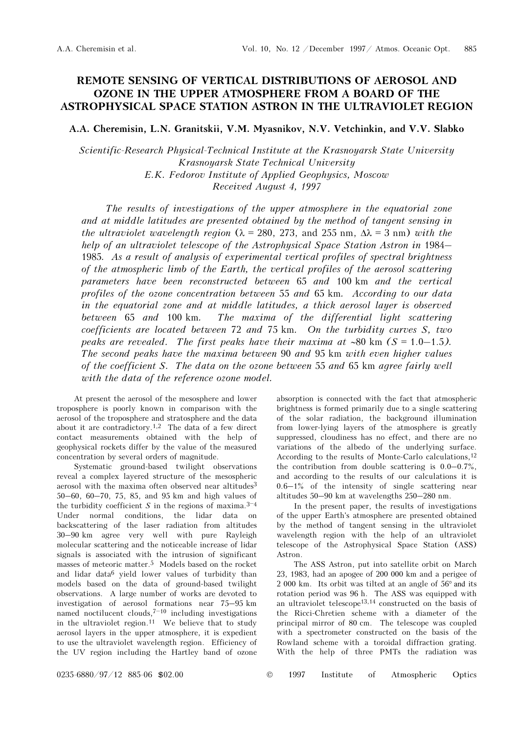## REMOTE SENSING OF VERTICAL DISTRIBUTIONS OF AEROSOL AND OZONE IN THE UPPER ATMOSPHERE FROM A BOARD OF THE ASTROPHYSICAL SPACE STATION ASTRON IN THE ULTRAVIOLET REGION

A.A. Cheremisin, L.N. Granitskii, V.M. Myasnikov, N.V. Vetchinkin, and V.V. Slabko

Scientific-Research Physical-Technical Institute at the Krasnoyarsk State University Krasnoyarsk State Technical University E.K. Fedorov Institute of Applied Geophysics, Moscow Received August 4, 1997

The results of investigations of the upper atmosphere in the equatorial zone and at middle latitudes are presented obtained by the method of tangent sensing in the ultraviolet wavelength region ( $\lambda = 280$ , 273, and 255 nm,  $\Delta \lambda = 3$  nm) with the The results of investigations of the upper atmosphere in the equatorial zone<br>and at middle latitudes are presented obtained by the method of tangent sensing in<br>the ultraviolet wavelength region ( $\lambda = 280$ , 273, and 255 nm 1985. As a result of analysis of experimental vertical profiles of spectral brightness of the atmospheric limb of the Earth, the vertical profiles of the aerosol scattering parameters have been reconstructed between 65 and 100 km and the vertical profiles of the ozone concentration between 55 and 65 km. According to our data in the equatorial zone and at middle latitudes, a thick aerosol layer is observed between 65 and 100 km. The maxima of the differential light in the equatorial zone and at middle latitudes, a thick aerosol layer is observed between 65 and 100 km. The maxima of the differential light scattering coefficients are located between 72 and 75 km. On the turbidity curves S, two The second peaks have the maxima between 90 and 95 km with even higher values of the coefficient S. The data on the ozone between 55 and 65 km agree fairly well with the data of the reference ozone model.

At present the aerosol of the mesosphere and lower troposphere is poorly known in comparison with the aerosol of the troposphere and stratosphere and the data about it are contradictory.<sup>1,2</sup> The data of a few direct contact measurements obtained with the help of geophysical rockets differ by the value of the measured concentration by several orders of magnitude.

Systematic ground-based twilight observations reveal a complex layered structure of the mesospheric aerosol with the maxima often observed near altitudes<sup>3</sup> 50–60, 60–70, 75, 85, and 95 km and high values of the turbidity coefficient *S* in the regions of maxima.<sup>3–4</sup> aerosol with the maxima often observed near altitudes<sup>3</sup> 50–60, 60–70, 75, 85, and 95 km and high values of Under normal conditions, the lidar data on backscattering of the laser radiation from altitudes 30–90 km agree very well with pure Rayleigh molecular scattering and the noticeable increase of lidar signals is associated with the intrusion of significant masses of meteoric matter.5 Models based on the rocket and lidar data6 yield lower values of turbidity than models based on the data of ground-based twilight observations. A large number of works are devoted to investigation of aerosol formations near 75–95 km models based on the data of ground-based twilight<br>observations. A large number of works are devoted to<br>investigation of aerosol formations near  $75-95$  km<br>named noctilucent clouds,<sup>7–10</sup> including investigations in the ultraviolet region.<sup>11</sup> We believe that to study aerosol layers in the upper atmosphere, it is expedient to use the ultraviolet wavelength region. Efficiency of the UV region including the Hartley band of ozone

absorption is connected with the fact that atmospheric brightness is formed primarily due to a single scattering of the solar radiation, the background illumination from lower-lying layers of the atmosphere is greatly suppressed, cloudiness has no effect, and there are no variations of the albedo of the underlying surface. According to the results of Monte-Carlo calculations,<sup>12</sup> the contribution from double scattering is 0.0–0.7%, and according to the results of our calculations it is  $0.6-1\%$  of the intensity of single scattering near altitudes 50–90 km at wavelengths 250–280 nm.

In the present paper, the results of investigations of the upper Earth's atmosphere are presented obtained by the method of tangent sensing in the ultraviolet wavelength region with the help of an ultraviolet telescope of the Astrophysical Space Station (ASS) Astron.

The ASS Astron, put into satellite orbit on March 23, 1983, had an apogee of 200 000 km and a perigee of 2 000 km. Its orbit was tilted at an angle of 56° and its rotation period was 96 h. The ASS was equipped with an ultraviolet telescope13,14 constructed on the basis of the Ricci-Chretien scheme with a diameter of the principal mirror of 80 cm. The telescope was coupled with a spectrometer constructed on the basis of the Rowland scheme with a toroidal diffraction grating. With the help of three PMTs the radiation was

0235-6880/97/12 885-06 \$02.00 © 1997 Institute of Atmospheric Optics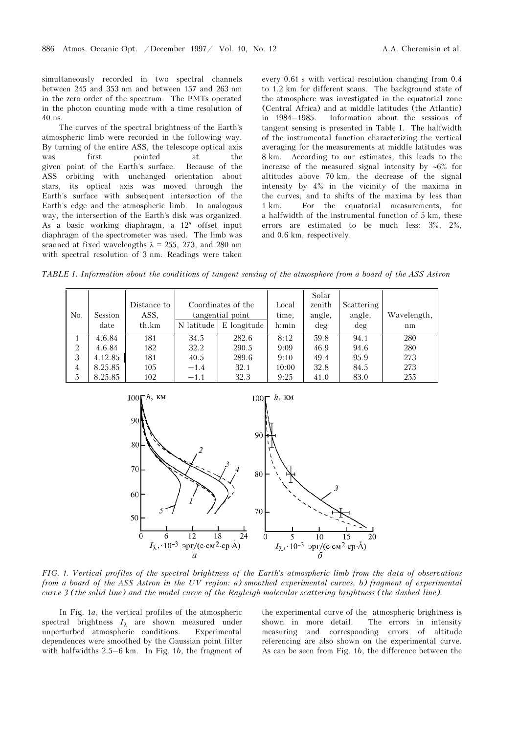simultaneously recorded in two spectral channels between 245 and 353 nm and between 157 and 263 nm in the zero order of the spectrum. The PMTs operated in the photon counting mode with a time resolution of 40 ns.

The curves of the spectral brightness of the Earth's atmospheric limb were recorded in the following way. By turning of the entire ASS, the telescope optical axis was first pointed at the given point of the Earth's surface. Because of the ASS orbiting with unchanged orientation about stars, its optical axis was moved through the Earth's surface with subsequent intersection of the Earth's edge and the atmospheric limb. In analogous way, the intersection of the Earth's disk was organized. As a basic working diaphragm, a 12″ offset input diaphragm of the spectrometer was used. The limb was scanned at fixed wavelengths  $\lambda = 255$ , 273, and 280 nm with spectral resolution of 3 nm. Readings were taken every 0.61 s with vertical resolution changing from 0.4 to 1.2 km for different scans. The background state of the atmosphere was investigated in the equatorial zone (Central Africa) and at middle latitudes (the Atlantic) in 1984–1985. Information about the sessions of tangent sensing is presented in Table I. The halfwidth of the instrumental function characterizing the vertical averaging for the measurements at middle latitudes was 8 km. According to our estimates, this leads to the increase of the measured signal intensity by ∼6% for altitudes above 70 km, the decrease of the signal intensity by 4% in the vicinity of the maxima in the curves, and to shifts of the maxima by less than 1 km. For the equatorial measurements, for a halfwidth of the instrumental function of 5 km, these errors are estimated to be much less: 3%, 2%, and 0.6 km, respectively.

TABLE I. Information about the conditions of tangent sensing of the atmosphere from a board of the ASS Astron

|                |         |             |                                        |             |        | Solar  |            |             |
|----------------|---------|-------------|----------------------------------------|-------------|--------|--------|------------|-------------|
|                |         | Distance to | Coordinates of the<br>tangential point |             | Local  | zenith | Scattering |             |
| No.            | Session | ASS.        |                                        |             | time,  | angle, | angle,     | Wavelength, |
|                | date    | th.km       | N latitude                             | E longitude | h: min | deg    | deg        | nm          |
|                | 4.6.84  | 181         | 34.5                                   | 282.6       | 8:12   | 59.8   | 94.1       | 280         |
| 2              | 4.6.84  | 182         | 32.2                                   | 290.5       | 9:09   | 46.9   | 94.6       | 280         |
| 3              | 4.12.85 | 181         | 40.5                                   | 289.6       | 9:10   | 49.4   | 95.9       | 273         |
| $\overline{4}$ | 8.25.85 | 105         | $-1.4$                                 | 32.1        | 10:00  | 32.8   | 84.5       | 273         |
| 5              | 8.25.85 | 102         | $-1.1$                                 | 32.3        | 9:25   | 41.0   | 83.0       | 255         |



FIG. 1. Vertical profiles of the spectral brightness of the Earth's atmospheric limb from the data of observations from a board of the ASS Astron in the UV region: a) smoothed experimental curves, b) fragment of experimental curve 3 (the solid line) and the model curve of the Rayleigh molecular scattering brightness (the dashed line).

In Fig. 1a, the vertical profiles of the atmospheric spectral brightness  $I_{\lambda}$  are shown measured under unperturbed atmospheric conditions. Experimental dependences were smoothed by the Gaussian point filter with halfwidths 2.5–6 km. In Fig. 1b, the fragment of the experimental curve of the atmospheric brightness is shown in more detail. The errors in intensity measuring and corresponding errors of altitude referencing are also shown on the experimental curve. As can be seen from Fig. 1b, the difference between the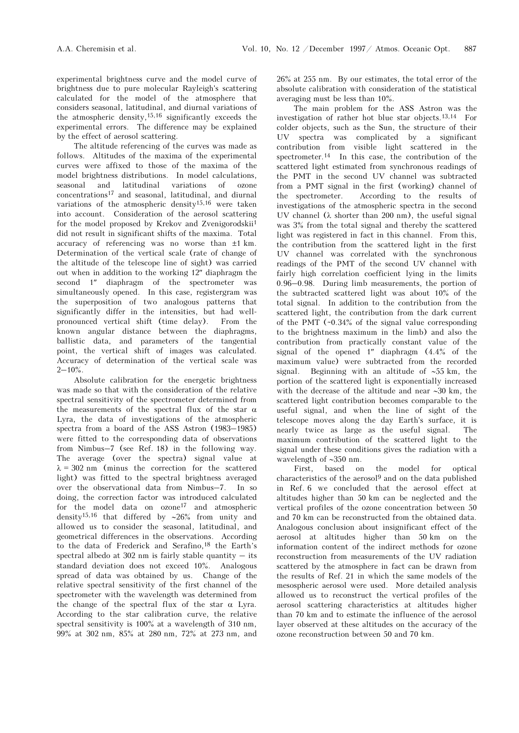experimental brightness curve and the model curve of brightness due to pure molecular Rayleigh's scattering calculated for the model of the atmosphere that considers seasonal, latitudinal, and diurnal variations of the atmospheric density,15,16 significantly exceeds the experimental errors. The difference may be explained by the effect of aerosol scattering.

The altitude referencing of the curves was made as follows. Altitudes of the maxima of the experimental curves were affixed to those of the maxima of the model brightness distributions. In model calculations, seasonal and latitudinal variations of ozone concentrations17 and seasonal, latitudinal, and diurnal variations of the atmospheric density<sup>15,16</sup> were taken into account. Consideration of the aerosol scattering for the model proposed by Krekov and Zvenigorodskii<sup>1</sup> did not result in significant shifts of the maxima. Total accuracy of referencing was no worse than ±1 km. Determination of the vertical scale (rate of change of the altitude of the telescope line of sight) was carried out when in addition to the working 12″ diaphragm the second 1" diaphragm of the spectrometer was simultaneously opened. In this case, registergram was the superposition of two analogous patterns that significantly differ in the intensities, but had wellpronounced vertical shift (time delay). From the known angular distance between the diaphragms, ballistic data, and parameters of the tangential point, the vertical shift of images was calculated. Accuracy of determination of the vertical scale was  $2 - 10\%$ .

Absolute calibration for the energetic brightness was made so that with the consideration of the relative spectral sensitivity of the spectrometer determined from the measurements of the spectral flux of the star  $\alpha$ Lyra, the data of investigations of the atmospheric spectra from a board of the ASS Astron (1983–1985) were fitted to the corresponding data of observations from Nimbus–7 (see Ref. 18) in the following way. The average (over the spectra) signal value at  $\lambda = 302$  nm (minus the correction for the scattered light) was fitted to the spectral brightness averaged over the observational data from Nimbus–7. In so doing, the correction factor was introduced calculated for the model data on ozone<sup>17</sup> and atmospheric density15,16 that differed by ∼26% from unity and allowed us to consider the seasonal, latitudinal, and geometrical differences in the observations. According to the data of Frederick and Serafino,18 the Earth's spectral albedo at 302 nm is fairly stable quantity  $-$  its standard deviation does not exceed 10%. Analogous spread of data was obtained by us. Change of the relative spectral sensitivity of the first channel of the spectrometer with the wavelength was determined from the change of the spectral flux of the star  $\alpha$  Lyra. According to the star calibration curve, the relative spectral sensitivity is 100% at a wavelength of 310 nm, 99% at 302 nm, 85% at 280 nm, 72% at 273 nm, and 26% at 255 nm. By our estimates, the total error of the absolute calibration with consideration of the statistical averaging must be less than 10%.

The main problem for the ASS Astron was the investigation of rather hot blue star objects.13,14 For colder objects, such as the Sun, the structure of their UV spectra was complicated by a significant contribution from visible light scattered in the spectrometer.14 In this case, the contribution of the scattered light estimated from synchronous readings of the PMT in the second UV channel was subtracted from a PMT signal in the first (working) channel of the spectrometer. According to the results of investigations of the atmospheric spectra in the second UV channel ( $\lambda$  shorter than 200 nm), the useful signal was 3% from the total signal and thereby the scattered light was registered in fact in this channel. From this, the contribution from the scattered light in the first UV channel was correlated with the synchronous readings of the PMT of the second UV channel with fairly high correlation coefficient lying in the limits 0.96–0.98. During limb measurements, the portion of the subtracted scattered light was about 10% of the total signal. In addition to the contribution from the scattered light, the contribution from the dark current of the PMT (~0.34% of the signal value corresponding to the brightness maximum in the limb) and also the contribution from practically constant value of the signal of the opened 1″ diaphragm (4.4% of the maximum value) were subtracted from the recorded signal. Beginning with an altitude of ∼55 km, the portion of the scattered light is exponentially increased with the decrease of the altitude and near ∼30 km, the scattered light contribution becomes comparable to the useful signal, and when the line of sight of the telescope moves along the day Earth's surface, it is nearly twice as large as the useful signal. The maximum contribution of the scattered light to the signal under these conditions gives the radiation with a wavelength of ∼350 nm.

First, based on the model for optical characteristics of the aerosol $9$  and on the data published in Ref. 6 we concluded that the aerosol effect at altitudes higher than 50 km can be neglected and the vertical profiles of the ozone concentration between 50 and 70 km can be reconstructed from the obtained data. Analogous conclusion about insignificant effect of the aerosol at altitudes higher than 50 km on the information content of the indirect methods for ozone reconstruction from measurements of the UV radiation scattered by the atmosphere in fact can be drawn from the results of Ref. 21 in which the same models of the mesospheric aerosol were used. More detailed analysis allowed us to reconstruct the vertical profiles of the aerosol scattering characteristics at altitudes higher than 70 km and to estimate the influence of the aerosol layer observed at these altitudes on the accuracy of the ozone reconstruction between 50 and 70 km.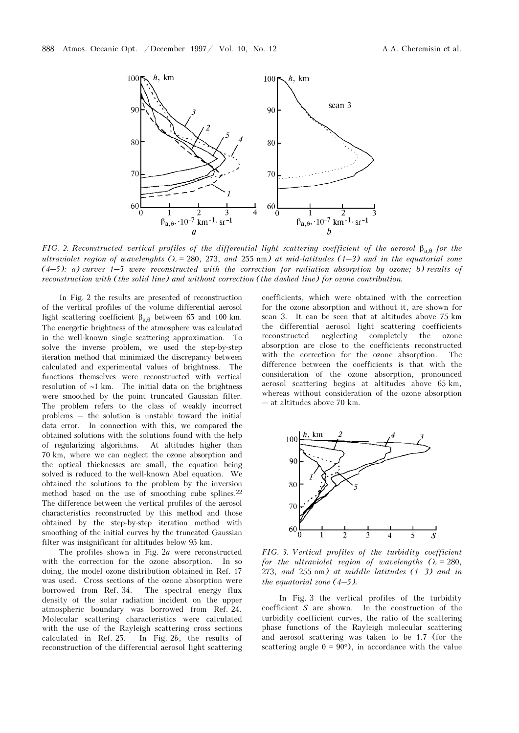

FIG. 2. Reconstructed vertical profiles of the differential light scattering coefficient of the aerosol  $\beta_{a,\theta}$  for the  $\beta_{a,\theta}$ ,  $\cdot 10^{-7}$  km<sup>-1</sup> sr<sup>-1</sup><br>
a<br>
FIG. 2. Reconstructed vertical profiles of the differential light scattering coefficient of the aerosol  $\beta_{a,\theta}$  for the<br>
ultraviolet region of wavelenghts ( $\lambda$  = 280, 273, and 25 (4) and the differential light scattering coefficient of the aerosol  $\beta_{a, \theta}$  for the<br>ultraviolet region of wavelenghts ( $\lambda$  = 280, 273, and 255 nm) at mid-latitudes (1–3) and in the equatorial zone<br>(4–5): a) curves 1– reconstruction with (the solid line) and without correction (the dashed line) for ozone contribution.

In Fig. 2 the results are presented of reconstruction of the vertical profiles of the volume differential aerosol light scattering coefficient  $β_{a,θ}$  between 65 and 100 km. The energetic brightness of the atmosphere was calculated in the well-known single scattering approximation. To solve the inverse problem, we used the step-by-step iteration method that minimized the discrepancy between calculated and experimental values of brightness. The functions themselves were reconstructed with vertical resolution of ∼1 km. The initial data on the brightness were smoothed by the point truncated Gaussian filter. The problem refers to the class of weakly incorrect problems – the solution is unstable toward the initial data error. In connection with this, we compared the obtained solutions with the solutions found with the help of regularizing algorithms. At altitudes higher than 70 km, where we can neglect the ozone absorption and the optical thicknesses are small, the equation being solved is reduced to the well-known Abel equation. We obtained the solutions to the problem by the inversion method based on the use of smoothing cube splines.<sup>22</sup> The difference between the vertical profiles of the aerosol characteristics reconstructed by this method and those obtained by the step-by-step iteration method with smoothing of the initial curves by the truncated Gaussian filter was insignificant for altitudes below 95 km.

The profiles shown in Fig. 2a were reconstructed with the correction for the ozone absorption. In so doing, the model ozone distribution obtained in Ref. 17 was used. Cross sections of the ozone absorption were borrowed from Ref. 34. The spectral energy flux density of the solar radiation incident on the upper atmospheric boundary was borrowed from Ref. 24. Molecular scattering characteristics were calculated with the use of the Rayleigh scattering cross sections calculated in Ref. 25. In Fig. 2b, the results of reconstruction of the differential aerosol light scattering

coefficients, which were obtained with the correction for the ozone absorption and without it, are shown for scan 3. It can be seen that at altitudes above 75 km the differential aerosol light scattering coefficients reconstructed neglecting completely the ozone absorption are close to the coefficients reconstructed with the correction for the ozone absorption. The difference between the coefficients is that with the consideration of the ozone absorption, pronounced aerosol scattering begins at altitudes above 65 km, whereas without consideration of the ozone absorption – at altitudes above 70 km.



FIG. 3. Vertical profiles of the turbidity coefficient for the ultraviolet region of wavelengths  $(\lambda = 280,$ 2 0 1 2 3 4 5 *S*<br>
273, *273*, *273*, *and* 255 nm) *at middle latitudes* (1–3) *and in* FIG. 3. Vertical profiles of the ultraviolet region<br>273, and 255 nm) at mide<br>the equatorial zone  $(4-5)$ .

In Fig. 3 the vertical profiles of the turbidity coefficient S are shown. In the construction of the turbidity coefficient curves, the ratio of the scattering phase functions of the Rayleigh molecular scattering and aerosol scattering was taken to be 1.7 (for the scattering angle  $\theta = 90^{\circ}$ , in accordance with the value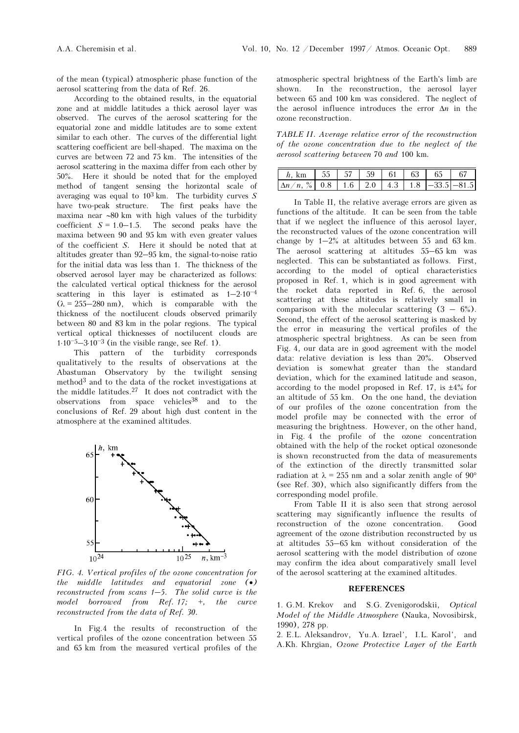of the mean (typical) atmospheric phase function of the aerosol scattering from the data of Ref. 26.

According to the obtained results, in the equatorial zone and at middle latitudes a thick aerosol layer was observed. The curves of the aerosol scattering for the equatorial zone and middle latitudes are to some extent similar to each other. The curves of the differential light scattering coefficient are bell-shaped. The maxima on the curves are between 72 and 75 km. The intensities of the aerosol scattering in the maxima differ from each other by 50%. Here it should be noted that for the employed method of tangent sensing the horizontal scale of averaging was equal to  $10^3$  km. The turbidity curves S have two-peak structure. The first peaks have the maxima near ∼80 km with high values of the turbidity coefficient  $S = 1.0-1.5$ . The second peaks have the maxima between 90 and 95 km with even greater values of the coefficient S. Here it should be noted that at altitudes greater than 92–95 km, the signal-to-noise ratio for the initial data was less than 1. The thickness of the observed aerosol layer may be characterized as follows: the calculated vertical optical thickness for the aerosol scattering in this layer is estimated as  $1-2.10^{-4}$  $(\lambda = 255 - 280 \text{ nm})$ , which is comparable with the thickness of the noctilucent clouds observed primarily between 80 and 83 km in the polar regions. The typical vertical optical thicknesses of noctilucent clouds are  $1.10^{-5} - 3.10^{-3}$  (in the visible range, see Ref. 1).

This pattern of the turbidity corresponds qualitatively to the results of observations at the Abastuman Observatory by the twilight sensing method3 and to the data of the rocket investigations at the middle latitudes. $27$  It does not contradict with the observations from space vehicles38 and to the conclusions of Ref. 29 about high dust content in the atmosphere at the examined altitudes.



FIG. 4. Vertical profiles of the ozone concentration for the middle latitudes and equatorial zone (•)  $r_{10}^{10}$  and  $r_{10}^{10}$  and  $r_{10}^{10}$  and  $r_{10}^{10}$  and  $r_{10}^{10}$  and  $r_{10}^{10}$  and  $r_{10}^{10}$  and  $r_{10}^{10}$  and  $r_{10}^{10}$  and  $r_{10}^{10}$  and  $r_{10}^{10}$  and  $r_{10}^{10}$  and  $r_{10}^{10}$  and  $r_{10}^{10}$  a model borrowed from Ref.  $17; +$ , the curve reconstructed from the data of Ref. 30.

In Fig.4 the results of reconstruction of the vertical profiles of the ozone concentration between 55 and 65 km from the measured vertical profiles of the atmospheric spectral brightness of the Earth's limb are shown. In the reconstruction, the aerosol layer between 65 and 100 km was considered. The neglect of the aerosol influence introduces the error  $\Delta n$  in the ozone reconstruction.

TABLE II. Average relative error of the reconstruction of the ozone concentration due to the neglect of the aerosol scattering between 70 and 100 km.

| $h, km$ 55 57 59 61 63 65                                                                                                        |  |  |  | 67 |
|----------------------------------------------------------------------------------------------------------------------------------|--|--|--|----|
| $\left \Delta n/n, \frac{\%}{6}\right $ 0.8 $\left $ 1.6 $\right $ 2.0 $\left $ 4.3 $\right $ 1.8 $\left $ -33.5 $\right $ -81.5 |  |  |  |    |

In Table II, the relative average errors are given as functions of the altitude. It can be seen from the table that if we neglect the influence of this aerosol layer, the reconstructed values of the ozone concentration will change by 1–2% at altitudes between 55 and 63 km. The aerosol scattering at altitudes 55–65 km was neglected. This can be substantiated as follows. First, according to the model of optical characteristics proposed in Ref. 1, which is in good agreement with the rocket data reported in Ref. 6, the aerosol scattering at these altitudes is relatively small in comparison with the molecular scattering  $(3 - 6\%)$ . Second, the effect of the aerosol scattering is masked by the error in measuring the vertical profiles of the atmospheric spectral brightness. As can be seen from Fig. 4, our data are in good agreement with the model data: relative deviation is less than 20%. Observed deviation is somewhat greater than the standard deviation, which for the examined latitude and season, according to the model proposed in Ref. 17, is  $\pm 4\%$  for an altitude of 55 km. On the one hand, the deviation of our profiles of the ozone concentration from the model profile may be connected with the error of measuring the brightness. However, on the other hand, in Fig. 4 the profile of the ozone concentration obtained with the help of the rocket optical ozonesonde is shown reconstructed from the data of measurements of the extinction of the directly transmitted solar radiation at  $\lambda = 255$  nm and a solar zenith angle of 90° (see Ref. 30), which also significantly differs from the corresponding model profile.

From Table II it is also seen that strong aerosol scattering may significantly influence the results of reconstruction of the ozone concentration. Good agreement of the ozone distribution reconstructed by us at altitudes 55–65 km without consideration of the aerosol scattering with the model distribution of ozone may confirm the idea about comparatively small level of the aerosol scattering at the examined altitudes.

## REFERENCES

1. G.M. Krekov and S.G. Zvenigorodskii, Optical Model of the Middle Atmosphere (Nauka, Novosibirsk, 1990), 278 pp.

2. E.L. Aleksandrov, Yu.A. Izrael', I.L. Karol', and A.Kh. Khrgian, Ozone Protective Layer of the Earth